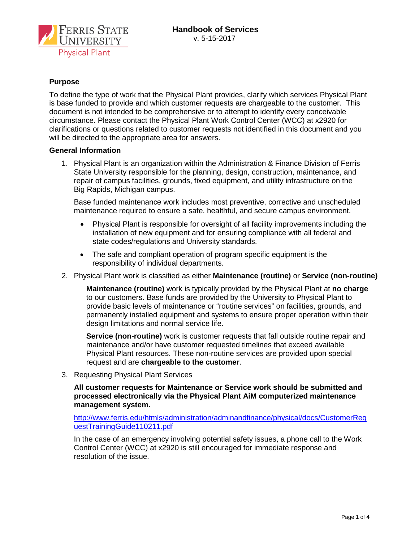

# **Purpose**

To define the type of work that the Physical Plant provides, clarify which services Physical Plant is base funded to provide and which customer requests are chargeable to the customer. This document is not intended to be comprehensive or to attempt to identify every conceivable circumstance. Please contact the Physical Plant Work Control Center (WCC) at x2920 for clarifications or questions related to customer requests not identified in this document and you will be directed to the appropriate area for answers.

## **General Information**

1. Physical Plant is an organization within the Administration & Finance Division of Ferris State University responsible for the planning, design, construction, maintenance, and repair of campus facilities, grounds, fixed equipment, and utility infrastructure on the Big Rapids, Michigan campus.

Base funded maintenance work includes most preventive, corrective and unscheduled maintenance required to ensure a safe, healthful, and secure campus environment.

- Physical Plant is responsible for oversight of all facility improvements including the installation of new equipment and for ensuring compliance with all federal and state codes/regulations and University standards.
- The safe and compliant operation of program specific equipment is the responsibility of individual departments.
- 2. Physical Plant work is classified as either **Maintenance (routine)** or **Service (non-routine)**

**Maintenance (routine)** work is typically provided by the Physical Plant at **no charge** to our customers. Base funds are provided by the University to Physical Plant to provide basic levels of maintenance or "routine services" on facilities, grounds, and permanently installed equipment and systems to ensure proper operation within their design limitations and normal service life.

**Service (non-routine)** work is customer requests that fall outside routine repair and maintenance and/or have customer requested timelines that exceed available Physical Plant resources. These non-routine services are provided upon special request and are **chargeable to the customer**.

3. Requesting Physical Plant Services

**All customer requests for Maintenance or Service work should be submitted and processed electronically via the Physical Plant AiM computerized maintenance management system.**

[http://www.ferris.edu/htmls/administration/adminandfinance/physical/docs/CustomerReq](http://www.ferris.edu/htmls/administration/adminandfinance/physical/docs/CustomerRequestTrainingGuide110211.pdf) [uestTrainingGuide110211.pdf](http://www.ferris.edu/htmls/administration/adminandfinance/physical/docs/CustomerRequestTrainingGuide110211.pdf)

In the case of an emergency involving potential safety issues, a phone call to the Work Control Center (WCC) at x2920 is still encouraged for immediate response and resolution of the issue.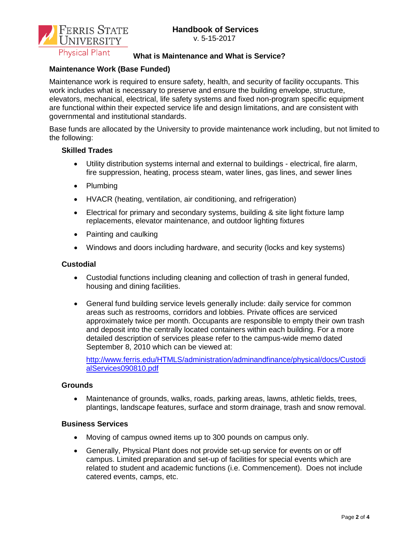

v. 5-15-2017

# **What is Maintenance and What is Service?**

# **Maintenance Work (Base Funded)**

Maintenance work is required to ensure safety, health, and security of facility occupants. This work includes what is necessary to preserve and ensure the building envelope, structure, elevators, mechanical, electrical, life safety systems and fixed non-program specific equipment are functional within their expected service life and design limitations, and are consistent with governmental and institutional standards.

Base funds are allocated by the University to provide maintenance work including, but not limited to the following:

# **Skilled Trades**

- Utility distribution systems internal and external to buildings electrical, fire alarm, fire suppression, heating, process steam, water lines, gas lines, and sewer lines
- Plumbing
- HVACR (heating, ventilation, air conditioning, and refrigeration)
- Electrical for primary and secondary systems, building & site light fixture lamp replacements, elevator maintenance, and outdoor lighting fixtures
- Painting and caulking
- Windows and doors including hardware, and security (locks and key systems)

## **Custodial**

- Custodial functions including cleaning and collection of trash in general funded, housing and dining facilities.
- General fund building service levels generally include: daily service for common areas such as restrooms, corridors and lobbies. Private offices are serviced approximately twice per month. Occupants are responsible to empty their own trash and deposit into the centrally located containers within each building. For a more detailed description of services please refer to the campus-wide memo dated September 8, 2010 which can be viewed at:

[http://www.ferris.edu/HTMLS/administration/adminandfinance/physical/docs/Custodi](http://www.ferris.edu/HTMLS/administration/adminandfinance/physical/docs/CustodialServices090810.pdf) [alServices090810.pdf](http://www.ferris.edu/HTMLS/administration/adminandfinance/physical/docs/CustodialServices090810.pdf)

## **Grounds**

• Maintenance of grounds, walks, roads, parking areas, lawns, athletic fields, trees, plantings, landscape features, surface and storm drainage, trash and snow removal.

## **Business Services**

- Moving of campus owned items up to 300 pounds on campus only.
- Generally, Physical Plant does not provide set-up service for events on or off campus. Limited preparation and set-up of facilities for special events which are related to student and academic functions (i.e. Commencement). Does not include catered events, camps, etc.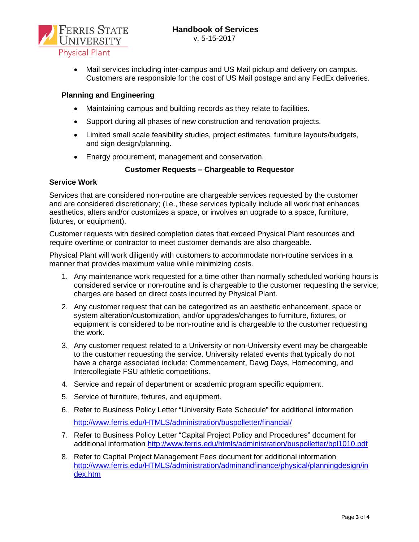

• Mail services including inter-campus and US Mail pickup and delivery on campus. Customers are responsible for the cost of US Mail postage and any FedEx deliveries.

## **Planning and Engineering**

- Maintaining campus and building records as they relate to facilities.
- Support during all phases of new construction and renovation projects.
- Limited small scale feasibility studies, project estimates, furniture layouts/budgets, and sign design/planning.
- Energy procurement, management and conservation.

# **Customer Requests – Chargeable to Requestor**

# **Service Work**

Services that are considered non-routine are chargeable services requested by the customer and are considered discretionary; (i.e., these services typically include all work that enhances aesthetics, alters and/or customizes a space, or involves an upgrade to a space, furniture, fixtures, or equipment).

Customer requests with desired completion dates that exceed Physical Plant resources and require overtime or contractor to meet customer demands are also chargeable.

Physical Plant will work diligently with customers to accommodate non-routine services in a manner that provides maximum value while minimizing costs.

- 1. Any maintenance work requested for a time other than normally scheduled working hours is considered service or non-routine and is chargeable to the customer requesting the service; charges are based on direct costs incurred by Physical Plant.
- 2. Any customer request that can be categorized as an aesthetic enhancement, space or system alteration/customization, and/or upgrades/changes to furniture, fixtures, or equipment is considered to be non-routine and is chargeable to the customer requesting the work.
- 3. Any customer request related to a University or non-University event may be chargeable to the customer requesting the service. University related events that typically do not have a charge associated include: Commencement, Dawg Days, Homecoming, and Intercollegiate FSU athletic competitions.
- 4. Service and repair of department or academic program specific equipment.
- 5. Service of furniture, fixtures, and equipment.
- 6. Refer to Business Policy Letter "University Rate Schedule" for additional information <http://www.ferris.edu/HTMLS/administration/buspolletter/financial/>
- 7. Refer to Business Policy Letter "Capital Project Policy and Procedures" document for additional information<http://www.ferris.edu/htmls/administration/buspolletter/bpl1010.pdf>
- 8. Refer to Capital Project Management Fees document for additional information [http://www.ferris.edu/HTMLS/administration/adminandfinance/physical/planningdesign/in](http://www.ferris.edu/HTMLS/administration/adminandfinance/physical/planningdesign/index.htm) [dex.htm](http://www.ferris.edu/HTMLS/administration/adminandfinance/physical/planningdesign/index.htm)